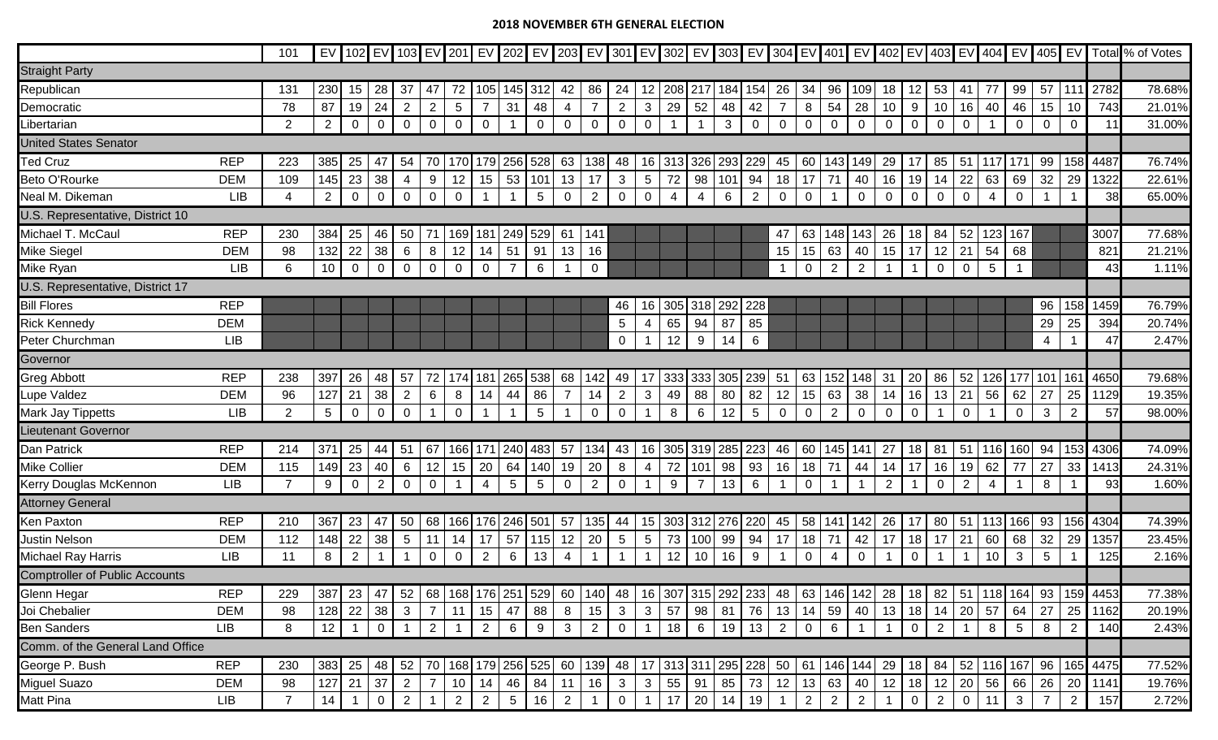## **2018 NOVEMBER 6TH GENERAL ELECTION**

|                                       |                    | 101            |                 |                |                |                 |                |                |                |                 |                 |                |                |                 |                 |                |                       |             |                |                |                |                 |                |                |                |                                   |                |                 |                 |                 |                |                                                                                                                                                                     | EV 102 EV 103 EV 201 EV 202 EV 202 EV 203 EV 301 EV 302 EV 303 EV 304 EV 401 EV 402 EV 403 EV 404 EV 404 EV 70tal % of Votes |
|---------------------------------------|--------------------|----------------|-----------------|----------------|----------------|-----------------|----------------|----------------|----------------|-----------------|-----------------|----------------|----------------|-----------------|-----------------|----------------|-----------------------|-------------|----------------|----------------|----------------|-----------------|----------------|----------------|----------------|-----------------------------------|----------------|-----------------|-----------------|-----------------|----------------|---------------------------------------------------------------------------------------------------------------------------------------------------------------------|------------------------------------------------------------------------------------------------------------------------------|
| <b>Straight Party</b>                 |                    |                |                 |                |                |                 |                |                |                |                 |                 |                |                |                 |                 |                |                       |             |                |                |                |                 |                |                |                |                                   |                |                 |                 |                 |                |                                                                                                                                                                     |                                                                                                                              |
| Republican                            |                    | 131            | 230             | 15             | 28             | 37              | 47             | 72             | 105            |                 | 145 312         | 42             | 86             | 24              | 12              | 208            |                       |             | 217 184 154 26 |                | 34             | 96              | 109            | 18             | 12             | 53                                | 41             | 77              | 99              | $57$ 111        |                | 2782                                                                                                                                                                | 78.68%                                                                                                                       |
| Democratic                            |                    | 78             | 87              | 19             | 24             | $\overline{2}$  | $\overline{2}$ | $\overline{5}$ | $\overline{7}$ | 31              | 48              | 4              | $\overline{7}$ | 2               | $\mathbf{3}$    | 29             | 52                    | 48          | 42             | $\overline{7}$ | 8              | 54              | 28             | 10             | 9              | 10                                | 16             | 40              | 46              | 15              | 10             | 743                                                                                                                                                                 | 21.01%                                                                                                                       |
| ibertarian                            |                    | 2              | $\overline{2}$  | $\mathbf 0$    | $\mathbf 0$    | $\mathbf 0$     | 0              | $\mathbf 0$    | $\mathbf 0$    |                 | $\mathbf 0$     | $\mathbf 0$    | $\mathbf 0$    | $\mathbf 0$     | $\mathbf 0$     |                |                       | 3           | $\mathbf 0$    | $\mathbf 0$    | $\overline{0}$ | $\mathbf 0$     | 0              | $\overline{0}$ | $\Omega$       | $\overline{0}$                    | $\mathbf 0$    |                 | $\Omega$        | $\mathbf 0$     | 0              | 11                                                                                                                                                                  | 31.00%                                                                                                                       |
| <b>United States Senator</b>          |                    |                |                 |                |                |                 |                |                |                |                 |                 |                |                |                 |                 |                |                       |             |                |                |                |                 |                |                |                |                                   |                |                 |                 |                 |                |                                                                                                                                                                     |                                                                                                                              |
| <b>Ted Cruz</b>                       | <b>REP</b>         | 223            | 385             | 25             | 47             | 54              | 70             |                | 170 179        | 256             | 528             | 63             | 138            | 48              |                 | 16 313         | 326                   | 293         | 229            | 45             | 60             | 143             | 149            | 29             | 17             | 85                                | 51             | 117             | 171             | 99              | 158            | 4487                                                                                                                                                                | 76.74%                                                                                                                       |
| Beto O'Rourke                         | <b>DEM</b>         | 109            | 145             | 23             | 38             | 4               | 9              | 12             | 15             | 53              | 101             | 13             | 17             | $\mathbf{3}$    | $\overline{5}$  | 72             | 98                    | 101         | 94             | 18             | 17             | 71              | 40             | 16             | 19             | 14                                | 22             | 63              | 69              | 32              | 29             | 1322                                                                                                                                                                | 22.61%                                                                                                                       |
| Neal M. Dikeman                       | <b>LIB</b>         | $\overline{4}$ | $\overline{2}$  | $\overline{0}$ | $\mathbf 0$    | $\overline{0}$  | $\mathbf 0$    | $\mathbf 0$    | $\overline{1}$ |                 | $5\phantom{.0}$ | $\overline{0}$ | 2              | $\overline{0}$  | $\mathbf 0$     | $\overline{4}$ | 4                     | 6           | $\overline{2}$ | $\overline{0}$ | $\overline{0}$ |                 | $\mathbf 0$    | 0              | $\mathbf 0$    | $\mathbf 0$                       | $\overline{0}$ | $\overline{4}$  | $\mathbf 0$     |                 |                | 38                                                                                                                                                                  | 65.00%                                                                                                                       |
| U.S. Representative, District 10      |                    |                |                 |                |                |                 |                |                |                |                 |                 |                |                |                 |                 |                |                       |             |                |                |                |                 |                |                |                |                                   |                |                 |                 |                 |                |                                                                                                                                                                     |                                                                                                                              |
| Michael T. McCaul                     | <b>REP</b>         | 230            | 384             | 25             | 46             | 50              | 71             |                | 169 181        | 249             | 529             | 61             | 141            |                 |                 |                |                       |             |                | 47             | 63             | 148             | 143            | 26             | 18             | 84                                | 52             | 123             | 167             |                 |                | 3007                                                                                                                                                                | 77.68%                                                                                                                       |
| Mike Siegel                           | <b>DEM</b>         | 98             | 132             | 22             | 38             | 6               | 8              | 12             | 14             | 51              | 91              | 13             | 16             |                 |                 |                |                       |             |                | 15             | 15             | 63              | 40             | 15             | 17             | 12                                | 21             | 54              | 68              |                 |                | 821                                                                                                                                                                 | 21.21%                                                                                                                       |
| Mike Ryan                             | <b>LIB</b>         | 6              | 10              | $\overline{0}$ | $\mathbf 0$    | $\mathbf 0$     | $\mathbf 0$    | $\mathbf 0$    | $\overline{0}$ | $\overline{7}$  | 6               |                | $\mathbf 0$    |                 |                 |                |                       |             |                | $\overline{1}$ | $\overline{0}$ | 2               | $\overline{2}$ |                | $\overline{1}$ | 0                                 | $\overline{0}$ | $5\phantom{.0}$ |                 |                 |                | 43                                                                                                                                                                  | 1.11%                                                                                                                        |
| U.S. Representative, District 17      |                    |                |                 |                |                |                 |                |                |                |                 |                 |                |                |                 |                 |                |                       |             |                |                |                |                 |                |                |                |                                   |                |                 |                 |                 |                |                                                                                                                                                                     |                                                                                                                              |
| <b>Bill Flores</b>                    | <b>REP</b>         |                |                 |                |                |                 |                |                |                |                 |                 |                |                | 46              | 16              | 305            |                       | 318 292 228 |                |                |                |                 |                |                |                |                                   |                |                 |                 | 96              | 158            | 1459                                                                                                                                                                | 76.79%                                                                                                                       |
| <b>Rick Kennedy</b>                   | <b>DEM</b>         |                |                 |                |                |                 |                |                |                |                 |                 |                |                | $5\phantom{.0}$ | -4              | 65             | 94                    | 87          | 85             |                |                |                 |                |                |                |                                   |                |                 |                 | 29              | 25             | 394                                                                                                                                                                 | 20.74%                                                                                                                       |
| Peter Churchman                       | <b>LIB</b>         |                |                 |                |                |                 |                |                |                |                 |                 |                |                | $\mathbf 0$     |                 | 12             | 9                     | 14          | 6              |                |                |                 |                |                |                |                                   |                |                 |                 | $\overline{4}$  |                | 47                                                                                                                                                                  | 2.47%                                                                                                                        |
| Governor                              |                    |                |                 |                |                |                 |                |                |                |                 |                 |                |                |                 |                 |                |                       |             |                |                |                |                 |                |                |                |                                   |                |                 |                 |                 |                |                                                                                                                                                                     |                                                                                                                              |
| <b>Greg Abbott</b>                    | <b>REP</b>         | 238            | 397             | 26             | 48             | 57              | 72             | 174            | 181            |                 | 265 538         | 68             | 142            | 49              | 17              | 333            |                       |             | 333 305 239 51 |                | 63             |                 | 152 148        | 31             | 20             | 86                                | 52             | 126             | 177             | 101             | 161            | 4650                                                                                                                                                                | 79.68%                                                                                                                       |
| -upe Valdez                           | <b>DEM</b>         | 96             | 127             | 21             | 38             | 2               | 6              | 8              | 14             | 44              | 86              | 7              | 14             | 2               | $\mathbf{3}$    | 49             | 88                    | 80          | 82             | 12             | 15             | 63              | 38             | 14             | 16             | 13                                | 21             | 56              | 62              | 27              | 25             | 1129                                                                                                                                                                | 19.35%                                                                                                                       |
| Mark Jay Tippetts                     | <b>LIB</b>         | 2              | $5\overline{)}$ | $\mathbf 0$    | $\mathbf{0}$   | $\mathbf 0$     |                | 0              | $\overline{1}$ |                 | $5\phantom{.0}$ |                | $\mathbf 0$    | $\overline{0}$  |                 | 8              | 6                     | 12          | 5              | $\overline{0}$ | $\overline{0}$ | $\overline{2}$  | 0              | 0              | $\Omega$       |                                   | $\mathbf 0$    |                 | 0               | $\mathbf{3}$    | $\overline{2}$ | 57                                                                                                                                                                  | 98.00%                                                                                                                       |
| <b>Lieutenant Governor</b>            |                    |                |                 |                |                |                 |                |                |                |                 |                 |                |                |                 |                 |                |                       |             |                |                |                |                 |                |                |                |                                   |                |                 |                 |                 |                |                                                                                                                                                                     |                                                                                                                              |
| Dan Patrick                           | <b>REP</b>         | 214            | 371             | 25             | 44             | 51              | 67             |                | 166 171        | 240             | 483             | 57             | 134            | 43              |                 |                | 16 305 319 285        |             | 223            | 46             | 60             | 145             | 141            | 27             | 18             | 81                                | 151            | 116             | 160             | 94              |                | 153 4306                                                                                                                                                            | 74.09%                                                                                                                       |
| Mike Collier                          | <b>DEM</b>         | 115            | 149             | 23             | 40             | 6               | 12             | 15             | 20             | 64              | 140             | 19             | 20             | 8               | 4               | 72             | 101                   | 98          | 93             | 16             | 18             | 71              | 44             | 14             | 17             | 16                                | 19             | 62              | 77              | 27              | 33             | 1413                                                                                                                                                                | 24.31%                                                                                                                       |
| Kerry Douglas McKennon                | <b>LIB</b>         | $\overline{7}$ | 9               | $\mathbf 0$    | $\overline{2}$ | $\mathbf 0$     | $\mathbf 0$    |                | $\overline{4}$ | $5\phantom{.0}$ | $5\phantom{.0}$ | $\mathbf 0$    | $\overline{2}$ | $\overline{0}$  |                 | 9              | $\overline{7}$        | 13          | 6              |                | $\mathbf 0$    |                 |                | 2              |                | 0                                 | 2              | $\overline{4}$  |                 | 8               |                | 93                                                                                                                                                                  | 1.60%                                                                                                                        |
| <b>Attorney General</b>               | 15 303 312 276 220 |                |                 |                |                |                 |                |                |                |                 |                 |                |                |                 |                 |                |                       |             |                |                |                |                 |                |                |                |                                   |                |                 |                 |                 |                |                                                                                                                                                                     |                                                                                                                              |
| Ken Paxton                            | <b>REP</b>         | 210            | 367             | 23             | 47             | 50              | 68             |                |                | 166 176 246 501 |                 | 57             | 135            | 44              |                 |                |                       |             |                | 45             | 58             |                 | 141 142        | 26             | 17             | 80                                |                |                 | 51 113 166 93   |                 |                | 156 4304                                                                                                                                                            | 74.39%                                                                                                                       |
| Justin Nelson                         | <b>DEM</b>         | 112            | 148             | 22             | 38             | $5\phantom{.0}$ | 11             | $14$   17      |                | 57              | 115             | 12             | 20             | $5\phantom{.0}$ | $5\overline{)}$ | 73             | 100                   | 99          | 94             | 17             | 18             | 71              | 42             | 17             | 18             | 17                                | 21             | 60              | 68              | 32              | 29             | 1357                                                                                                                                                                | 23.45%                                                                                                                       |
| <b>Michael Ray Harris</b>             | <b>LIB</b>         | 11             | 8               | 2              |                |                 | $\Omega$       | $\mathbf 0$    | $\overline{2}$ | 6               | 13              | 4              | -1             |                 |                 | 12             | 10                    | 16          | 9              |                | $\mathbf 0$    |                 | $\mathbf 0$    |                | $\mathbf 0$    |                                   |                | 10              | 3               | $5\phantom{.0}$ |                | 125                                                                                                                                                                 | 2.16%                                                                                                                        |
| <b>Comptroller of Public Accounts</b> |                    |                |                 |                |                |                 |                |                |                |                 |                 |                |                |                 |                 |                |                       |             |                |                |                |                 |                |                |                |                                   |                |                 |                 |                 |                |                                                                                                                                                                     |                                                                                                                              |
| Glenn Hegar                           | <b>REP</b>         | 229            |                 |                |                |                 |                |                |                |                 |                 |                |                |                 |                 |                |                       |             |                |                |                |                 |                |                |                |                                   |                |                 |                 |                 |                | 387  23   47   52   68   168   176   251   529   60   140   48   16   307   315   292   233   48   63   146   142   28   18   82   51   118   164   93   159   4453 | 77.38%                                                                                                                       |
| Joi Chebalier                         | <b>DEM</b>         | 98             | 128             | 22             | 38             | $\mathbf{3}$    | $\overline{7}$ | 11             | 15             | 47              | 88              | 8              | 15             | 3 <sup>1</sup>  | 3 <sup>1</sup>  | 57             | 98                    | 81          |                | 76 13          | 14             | 59              | 40             | 13             | 18             | $14 \overline{\phantom{0}}$ 20    |                | 57              | 64 I            | 27              | 25             | 1162                                                                                                                                                                | 20.19%                                                                                                                       |
| <b>Ben Sanders</b>                    | <b>LIB</b>         | 8              | 12              |                | $\overline{0}$ | $\overline{1}$  | $\overline{2}$ |                | $\overline{2}$ | 6 <sup>1</sup>  | 9               | 3 <sup>1</sup> | $\overline{2}$ | 0               | $\overline{1}$  | 18             | $6\overline{6}$       | 19          |                | $13 \mid 2$    | $\overline{0}$ | $6\overline{6}$ |                |                | $\overline{0}$ | $\overline{2}$                    |                | 8               | $5\overline{)}$ | 8               | $\overline{2}$ | 140                                                                                                                                                                 | 2.43%                                                                                                                        |
| Comm. of the General Land Office      |                    |                |                 |                |                |                 |                |                |                |                 |                 |                |                |                 |                 |                |                       |             |                |                |                |                 |                |                |                |                                   |                |                 |                 |                 |                |                                                                                                                                                                     |                                                                                                                              |
| George P. Bush                        | <b>REP</b>         | 230            | 383             | 25             | 48             | 52              | 70             |                | 168 179        |                 | 256 525         | 60             | 139            | 48              |                 |                | 17 313 311 295 228 50 |             |                |                | 61             | 146 144         |                | 29             | 18             | 84                                |                |                 | 52 116 167      |                 |                | 96   165 4475                                                                                                                                                       | 77.52%                                                                                                                       |
| Miguel Suazo                          | <b>DEM</b>         | 98             | 127             | 21             | 37             | $\overline{2}$  | $\overline{7}$ |                | $10$   14      | 46              | 84              | 11             | 16             | 3 <sup>1</sup>  | 3 <sup>1</sup>  | 55             | 91                    | 85          |                | 73 12          | 13             | 63              | 40             | 12             | 18             | $12 \overline{\smash{\big)}\ 20}$ |                | 56              |                 | 66 26           | 20             | 1141                                                                                                                                                                | 19.76%                                                                                                                       |
| Matt Pina                             | <b>LIB</b>         | $\overline{7}$ | 14              |                | $\overline{0}$ | $\overline{2}$  |                | 2 <sup>1</sup> | $\overline{2}$ | 5 <sup>1</sup>  | 16              | 2              | $\overline{1}$ | $\overline{0}$  | -1              | 17             | 20                    | 14          | 19             | $\overline{1}$ | $\overline{2}$ | $2^{\circ}$     | $\overline{2}$ |                | $\mathbf 0$    | $\overline{2}$                    | $\overline{0}$ | 11              | $\mathbf{3}$    | $7\overline{ }$ | $\overline{2}$ | 157                                                                                                                                                                 | 2.72%                                                                                                                        |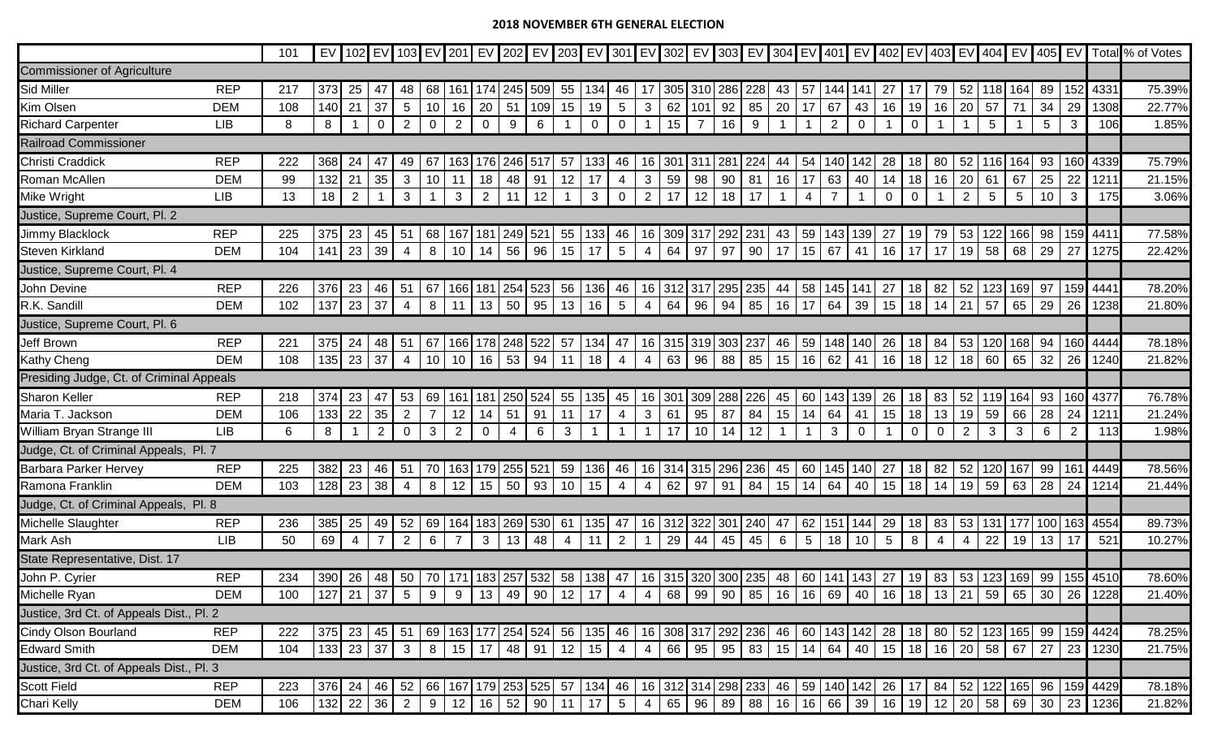## **2018 NOVEMBER 6TH GENERAL ELECTION**

|                                          |            | 101 |          |                |                                                                                                                                  |                 |                 |                 |                |         |             |                |                |                 |                |                 |             |       |                    |                         |                 |              |                |                             |                 |                |                |                |                 |                   |                |                                                                                                                | EV 102 EV 103 EV 201 EV 202 EV 203 EV 301 EV 301 EV 302 EV 303 EV 304 EV 401 EV 402 EV 403 EV 404 EV 405 EV Total % of Votes |
|------------------------------------------|------------|-----|----------|----------------|----------------------------------------------------------------------------------------------------------------------------------|-----------------|-----------------|-----------------|----------------|---------|-------------|----------------|----------------|-----------------|----------------|-----------------|-------------|-------|--------------------|-------------------------|-----------------|--------------|----------------|-----------------------------|-----------------|----------------|----------------|----------------|-----------------|-------------------|----------------|----------------------------------------------------------------------------------------------------------------|------------------------------------------------------------------------------------------------------------------------------|
| <b>Commissioner of Agriculture</b>       |            |     |          |                |                                                                                                                                  |                 |                 |                 |                |         |             |                |                |                 |                |                 |             |       |                    |                         |                 |              |                |                             |                 |                |                |                |                 |                   |                |                                                                                                                |                                                                                                                              |
| Sid Miller                               | <b>REP</b> | 217 | 373      | 25             | 47                                                                                                                               | 48              | 68              | 161             | 174            |         | 245 509     |                | 55 134         | 46              | 17             |                 | 305 310 286 |       | 228                | 43                      | 57              | 1441         | 141            | 27                          |                 | 79             | 52             | 118 I          | 164             | 89                | 152            | 4331                                                                                                           | 75.39%                                                                                                                       |
| Kim Olsen                                | <b>DEM</b> | 108 | 140      | 21             | 37                                                                                                                               | $5\phantom{.0}$ | 10              | 16              | 20             | 51      | 109         | 15             | 19             | $5\phantom{.0}$ | 3 <sup>1</sup> | 62              | 101         | 92    | $85$ 20            |                         | 17              | 67           | 43             | 16                          | 19              | 16             | 20             | 57             | 71              | 34                | 29             | 1308                                                                                                           | 22.77%                                                                                                                       |
| <b>Richard Carpenter</b>                 | <b>LIB</b> | 8   | 8        |                | $\mathbf 0$                                                                                                                      | 2               | $\mathbf 0$     | $\overline{2}$  | $\mathbf 0$    | 9       | 6           |                | $\mathbf 0$    | $\mathbf 0$     |                | 15              | -7          | 16    | 9                  |                         |                 | 2            | $\mathbf 0$    |                             | $\mathbf 0$     |                |                | 5 <sup>5</sup> |                 | 5                 | 3              | 106                                                                                                            | 1.85%                                                                                                                        |
| <b>Railroad Commissioner</b>             |            |     |          |                |                                                                                                                                  |                 |                 |                 |                |         |             |                |                |                 |                |                 |             |       |                    |                         |                 |              |                |                             |                 |                |                |                |                 |                   |                |                                                                                                                |                                                                                                                              |
| Christi Craddick                         | <b>REP</b> | 222 | 368      | 24             | 47                                                                                                                               | 49              | 67              | 163             | 176            | 246 517 |             | 57             | 133            | 46              | 16             | 301             | 311         | 281   |                    | 44                      | 54              | 140          | 142            | 28                          | 18              | 80             | 52             | 116 <b>I</b>   | 164             | 93                | 160            | 4339                                                                                                           | 75.79%                                                                                                                       |
| Roman McAllen                            | <b>DEM</b> | 99  | 132      | 21             | 35                                                                                                                               | $\mathbf{3}$    | 10              | 11              | 18             | 48      | 91          | 12             | 17             | 4               | 3 <sup>7</sup> | 59              | 98          | 90    | 81                 | 16                      | 17              | 63           | 40             | 14                          | 18              | 16             | 20             | 61             | 67              | 25                | 22             | 1211                                                                                                           | 21.15%                                                                                                                       |
| Mike Wright                              | <b>LIB</b> | 13  | 18       | $\overline{2}$ |                                                                                                                                  | $\mathbf{3}$    |                 | $\mathbf{3}$    | 2              | 11      | 12          |                | $\mathbf{3}$   | $\mathbf 0$     | 2 <sup>1</sup> | 17              | 12          | 18    | 17                 |                         |                 |              |                | $\mathbf 0$                 | $\mathbf 0$     |                | $\overline{2}$ | 5 <sup>5</sup> | $5\phantom{.0}$ | 10                | 3              | 175                                                                                                            | 3.06%                                                                                                                        |
| Justice, Supreme Court, Pl. 2            |            |     |          |                |                                                                                                                                  |                 |                 |                 |                |         |             |                |                |                 |                |                 |             |       |                    |                         |                 |              |                |                             |                 |                |                |                |                 |                   |                |                                                                                                                |                                                                                                                              |
| Jimmy Blacklock                          | <b>REP</b> | 225 | 375      | 23             | 45                                                                                                                               | -51             | 68              | 167             | 181            | 249     | 521         |                | 55   133       | 46              | 16             | 309             | 317         | 292   | 231                | 43                      | 59              | 143          | 139            | 27                          | 19              | 79             | 53             | 122            | 166             | 98                | 159            | 4411                                                                                                           | 77.58%                                                                                                                       |
| <b>Steven Kirkland</b>                   | <b>DEM</b> | 104 | 141      | 23             | $ 39\rangle$                                                                                                                     | $\overline{4}$  | 8               | 10 <sup>1</sup> | 14             | 56      | 96          | $15$ 17        |                | $5\overline{5}$ | 4 <sup>1</sup> | 64              | 97          | 97    | 90                 | 17                      | 15              | 67 41        |                | 16                          | 17 <sup>1</sup> | 17             | 19             | 58             | 68              | 29                | 27             | 1275                                                                                                           | 22.42%                                                                                                                       |
| Justice, Supreme Court, Pl. 4            |            |     |          |                |                                                                                                                                  |                 |                 |                 |                |         |             |                |                |                 |                |                 |             |       |                    |                         |                 |              |                |                             |                 |                |                |                |                 |                   |                |                                                                                                                |                                                                                                                              |
| John Devine                              | <b>REP</b> | 226 | 376      | 23             | 46                                                                                                                               | -51             | 67              | 166             | 181            |         | 254 523     |                | 56   136       | 46              |                |                 |             |       | 16 312 317 295 235 | 44                      | 58              | 145   141    |                | 27                          | 18              | 82             | 52             |                |                 | 97                | 159            | 444 <sup>2</sup>                                                                                               | 78.20%                                                                                                                       |
| R.K. Sandill                             | <b>DEM</b> | 102 | 137      | 23             | $\sqrt{37}$                                                                                                                      | $\overline{4}$  | 8               | 11              | 13             | 50      | 95          | 13             | 16             | $5\overline{5}$ | 4              | 64              | 96          | 94    | 85                 | 16                      | 17              | 64           | 39             | 15                          | 18              | 14             | 21             | 57             | 65              | 29                | 26             | 1238                                                                                                           | 21.80%                                                                                                                       |
| Justice, Supreme Court, Pl. 6            |            |     |          |                |                                                                                                                                  |                 |                 |                 |                |         |             |                |                |                 |                |                 |             |       |                    |                         |                 |              |                |                             |                 |                |                |                |                 |                   |                |                                                                                                                |                                                                                                                              |
| Jeff Brown                               | <b>REP</b> | 221 | 375      | 24             | 48                                                                                                                               | -51             | 67              | 1661            | 178            | 248 522 |             |                | 57 134         | 47              | 16             |                 | 315 319 303 |       | 237                | 46                      | 59              | 148          | 140            | 26                          | 18              | 84             | 53             | 120            | 1681            | 94                | 160            | 4444                                                                                                           | 78.18%                                                                                                                       |
| Kathy Cheng                              | <b>DEM</b> | 108 | 135      | 23             | 37                                                                                                                               | $\overline{4}$  | 10              | 10 <sup>1</sup> | 16             |         | 53 94       | 11             | 18             | $\overline{4}$  | $4 \mid$       | 63              | 96          | 88    | 85                 | 15                      | 16              | $62 \mid 41$ |                | 16                          | 18              | 12             | 18             | 60             | 65              | 32                | 26             | 1240                                                                                                           | 21.82%                                                                                                                       |
| Presiding Judge, Ct. of Criminal Appeals |            |     |          |                |                                                                                                                                  |                 |                 |                 |                |         |             |                |                |                 |                |                 |             |       |                    |                         |                 |              |                |                             |                 |                |                |                |                 |                   |                |                                                                                                                |                                                                                                                              |
| Sharon Keller                            | <b>REP</b> | 218 | 374      | 23             |                                                                                                                                  | 53              | 69              |                 | 181            |         | 524         | 55             | 135            | 45              | 16             | 30 <sup>′</sup> | 309         | 288   | 226                | 45                      | 60              |              | 139            | 26                          | 18              | 83             | 52             |                | 164             | 93                | 160            | 4377                                                                                                           | 76.78%                                                                                                                       |
| Maria T. Jackson                         | <b>DEM</b> | 106 | 133      | 22             | 35                                                                                                                               | $\overline{2}$  | $\overline{7}$  | 12              | 14             | 51      | 91          | 11             | 17             | $\overline{4}$  | 3 <sup>1</sup> | 61              | 95          | 87    | 84                 | 15                      | 14              | 64           | 41             | 15                          | 18              | 13             | 19             | 59             | 66              | 28                | 24             | 1211                                                                                                           | 21.24%                                                                                                                       |
| William Bryan Strange III                | <b>LIB</b> | 6   | 8        |                | $\overline{2}$                                                                                                                   | $\overline{0}$  | $\mathbf{3}$    | $\overline{2}$  | $\overline{0}$ | 4       | 6           | $\mathbf{3}$   | $\overline{1}$ |                 |                | 17              | 10          | 14    | 12                 | $\overline{\mathbf{1}}$ |                 | 3            | $\overline{0}$ |                             | $\mathbf 0$     | $\overline{0}$ | $\overline{2}$ | 3              | 3               | 6                 | $\overline{2}$ | 113                                                                                                            | 1.98%                                                                                                                        |
| Judge, Ct. of Criminal Appeals, Pl. 7    |            |     |          |                |                                                                                                                                  |                 |                 |                 |                |         |             |                |                |                 |                |                 |             |       |                    |                         |                 |              |                |                             |                 |                |                |                |                 |                   |                |                                                                                                                |                                                                                                                              |
| <b>Barbara Parker Hervey</b>             | <b>REP</b> | 225 | 382      | 23             | 46                                                                                                                               | -51             | 70              | 1631            | 179            | 255 521 |             |                | 59 136         | 46              |                | 16 314          | 315 296     |       | 236                | 45                      | 60              | 145 140      |                | 27                          | 18              | 82             | 52             | 1201           | 167             | 99                | 161            | 4449                                                                                                           | 78.56%                                                                                                                       |
| Ramona Franklin                          | <b>DEM</b> | 103 | 128      | 23             | 38                                                                                                                               | $\overline{4}$  | 8               | 12              | 15             | 50      | 93          | 10             | 15             | 4               | 4              | 62              | 97          | 91    | 84                 | 15                      | 14              | 64           | 40             | 15                          | 18              | 14             | 19             | 59             | 63              | 28                | 24             | 1214                                                                                                           | 21.44%                                                                                                                       |
| Judge, Ct. of Criminal Appeals, Pl. 8    |            |     |          |                |                                                                                                                                  |                 |                 |                 |                |         |             |                |                |                 |                |                 |             |       |                    |                         |                 |              |                |                             |                 |                |                |                |                 |                   |                |                                                                                                                |                                                                                                                              |
| Michelle Slaughter                       | <b>REP</b> | 236 | 385      | 25             | 49                                                                                                                               | 52              | 69              | 164             | 183            |         | 269 530     | 61             | 135            | 47              | 16             | 312             | 322         | 301   | 240                | 47                      | 62              | 151 144      |                | 29                          | 18              | 83             | 53             | 131            |                 | 100 163           |                | 4554                                                                                                           | 89.73%                                                                                                                       |
| Mark Ash                                 | LIB        | 50  | 69       | $\overline{4}$ | $\overline{7}$                                                                                                                   | $\overline{2}$  | $6\overline{6}$ | $\overline{7}$  | $\mathbf{3}$   | 13      | 48          | $\overline{4}$ | 11             | $\overline{2}$  |                | 29              | 44          | 45    | 45                 | 6                       | $5\phantom{.0}$ | $18$ 10      |                | $5\phantom{.0}$             | 8               | $\overline{4}$ | 4              | 22             | 19              | 13                | 17             | 521                                                                                                            | 10.27%                                                                                                                       |
| State Representative, Dist. 17           |            |     |          |                |                                                                                                                                  |                 |                 |                 |                |         |             |                |                |                 |                |                 |             |       |                    |                         |                 |              |                |                             |                 |                |                |                |                 |                   |                |                                                                                                                |                                                                                                                              |
| John P. Cyrier                           | <b>REP</b> | 234 | 390      | 26             | 48   50   70   171   183   257   532   58   138   47   16   315   320   300   235   48   60   141   143   27                     |                 |                 |                 |                |         |             |                |                |                 |                |                 |             |       |                    |                         |                 |              |                |                             | 19              | 83             |                |                |                 |                   |                | 53   123   169   99   155   4510                                                                               | 78.60%                                                                                                                       |
| Michelle Ryan                            | <b>DEM</b> | 100 |          |                |                                                                                                                                  |                 |                 |                 |                |         |             |                |                |                 |                |                 |             |       |                    |                         |                 |              |                |                             |                 |                |                |                |                 |                   |                | 127  21  37  5  9  9  13  49  90  12  17  4  4  68  99  90  85  16  16  69  40  16  18  13  21  59  65  30  26 | 21.40%                                                                                                                       |
| Justice, 3rd Ct. of Appeals Dist., Pl. 2 |            |     |          |                |                                                                                                                                  |                 |                 |                 |                |         |             |                |                |                 |                |                 |             |       |                    |                         |                 |              |                |                             |                 |                |                |                |                 |                   |                |                                                                                                                |                                                                                                                              |
| Cindy Olson Bourland                     | <b>REP</b> | 222 | $375$ 23 |                | 45   51   69   163   177   254   524   56   135   46   16   308   317   292   236   46   60   143   142   28                     |                 |                 |                 |                |         |             |                |                |                 |                |                 |             |       |                    |                         |                 |              |                |                             |                 | 18 80          |                |                |                 |                   |                | 52   123   165   99   159   4424                                                                               | 78.25%                                                                                                                       |
| <b>Edward Smith</b>                      | <b>DEM</b> | 104 |          |                | 133   23   37   3                                                                                                                |                 | 8 <sup>1</sup>  | $15$ 17         |                |         | 48 91 12 15 |                |                | $\overline{4}$  | 4              | 66              | 95   95     |       |                    | 83 15 14 64 40          |                 |              |                | 15   18   16   20   58   67 |                 |                |                |                |                 | $27 \mid 23 \mid$ |                | 1230                                                                                                           | 21.75%                                                                                                                       |
| Justice, 3rd Ct. of Appeals Dist., Pl. 3 |            |     |          |                |                                                                                                                                  |                 |                 |                 |                |         |             |                |                |                 |                |                 |             |       |                    |                         |                 |              |                |                             |                 |                |                |                |                 |                   |                |                                                                                                                |                                                                                                                              |
| <b>Scott Field</b>                       | <b>REP</b> | 223 |          |                | 376  24   46   52   66   167   179   253   525   57   134   46   16   312   314   298   233   46   59   140   142   26   17   84 |                 |                 |                 |                |         |             |                |                |                 |                |                 |             |       |                    |                         |                 |              |                |                             |                 |                |                |                |                 |                   |                | 52   122   165   96   159   4429                                                                               | 78.18%                                                                                                                       |
| Chari Kelly                              | <b>DEM</b> | 106 |          | 132 22 36      |                                                                                                                                  | $\overline{2}$  | 9               | $12$ 16         |                |         | $52$ 90     |                | $11$ 17        | $5\overline{)}$ | 4              | 65              |             | 96 89 |                    | 88 16                   |                 | 16 66 39     |                | 16 19                       |                 | $12 \quad 20$  |                |                |                 |                   |                | 58 69 30 23 1236                                                                                               | 21.82%                                                                                                                       |